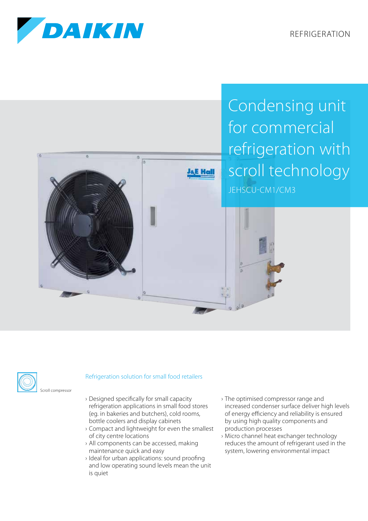REFRIGERATION



Condensing unit for commercial refrigeration with scroll technology JEHSCU-CM1/CM3





## Refrigeration solution for small food retailers

- › Designed specifically for small capacity refrigeration applications in small food stores (eg. in bakeries and butchers), cold rooms, bottle coolers and display cabinets
- › Compact and lightweight for even the smallest of city centre locations
- › All components can be accessed, making maintenance quick and easy
- › Ideal for urban applications: sound proofing and low operating sound levels mean the unit is quiet
- › The optimised compressor range and increased condenser surface deliver high levels of energy efficiency and reliability is ensured by using high quality components and production processes
- › Micro channel heat exchanger technology reduces the amount of refrigerant used in the system, lowering environmental impact